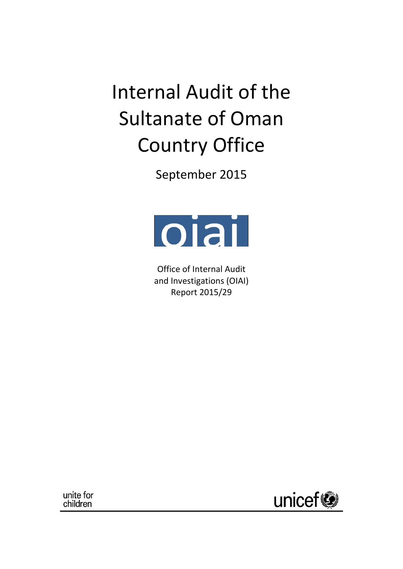Internal Audit of the Sultanate of Oman Country Office

September 2015



Office of Internal Audit and Investigations (OIAI) Report 2015/29

unite for children

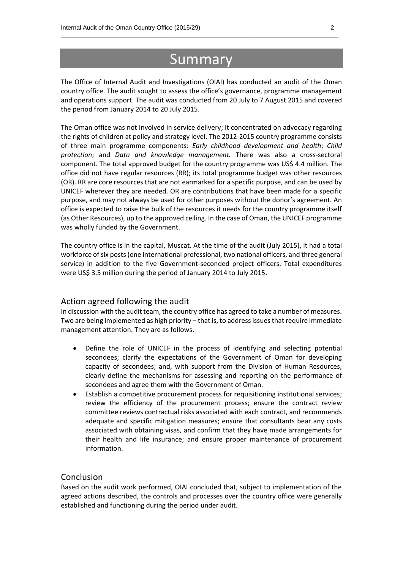## **Summary**

 $\_$  , and the set of the set of the set of the set of the set of the set of the set of the set of the set of the set of the set of the set of the set of the set of the set of the set of the set of the set of the set of th

The Office of Internal Audit and Investigations (OIAI) has conducted an audit of the Oman country office. The audit sought to assess the office's governance, programme management and operations support. The audit was conducted from 20 July to 7 August 2015 and covered the period from January 2014 to 20 July 2015.

The Oman office was not involved in service delivery; it concentrated on advocacy regarding the rights of children at policy and strategy level. The 2012-2015 country programme consists of three main programme components: *Early childhood development and health*; *Child protection*; and *Data and knowledge management.* There was also a cross-sectoral component. The total approved budget for the country programme was US\$ 4.4 million. The office did not have regular resources (RR); its total programme budget was other resources (OR). RR are core resources that are not earmarked for a specific purpose, and can be used by UNICEF wherever they are needed. OR are contributions that have been made for a specific purpose, and may not always be used for other purposes without the donor's agreement. An office is expected to raise the bulk of the resources it needs for the country programme itself (as Other Resources), up to the approved ceiling. In the case of Oman, the UNICEF programme was wholly funded by the Government.

The country office is in the capital, Muscat. At the time of the audit (July 2015), it had a total workforce of six posts (one international professional, two national officers, and three general service) in addition to the five Government-seconded project officers. Total expenditures were US\$ 3.5 million during the period of January 2014 to July 2015.

#### Action agreed following the audit

In discussion with the audit team, the country office has agreed to take a number of measures. Two are being implemented as high priority – that is, to address issues that require immediate management attention. They are as follows.

- Define the role of UNICEF in the process of identifying and selecting potential secondees; clarify the expectations of the Government of Oman for developing capacity of secondees; and, with support from the Division of Human Resources, clearly define the mechanisms for assessing and reporting on the performance of secondees and agree them with the Government of Oman.
- Establish a competitive procurement process for requisitioning institutional services; review the efficiency of the procurement process; ensure the contract review committee reviews contractual risks associated with each contract, and recommends adequate and specific mitigation measures; ensure that consultants bear any costs associated with obtaining visas, and confirm that they have made arrangements for their health and life insurance; and ensure proper maintenance of procurement information.

#### Conclusion

Based on the audit work performed, OIAI concluded that, subject to implementation of the agreed actions described, the controls and processes over the country office were generally established and functioning during the period under audit.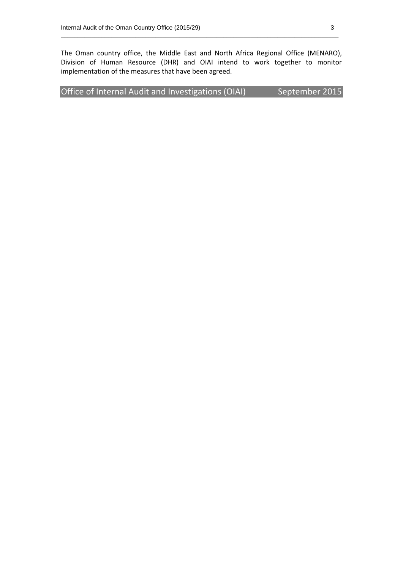The Oman country office, the Middle East and North Africa Regional Office (MENARO), Division of Human Resource (DHR) and OIAI intend to work together to monitor implementation of the measures that have been agreed.

 $\_$  , and the set of the set of the set of the set of the set of the set of the set of the set of the set of the set of the set of the set of the set of the set of the set of the set of the set of the set of the set of th

| Office of Internal Audit and Investigations (OIAI) | September 2015 |
|----------------------------------------------------|----------------|
|----------------------------------------------------|----------------|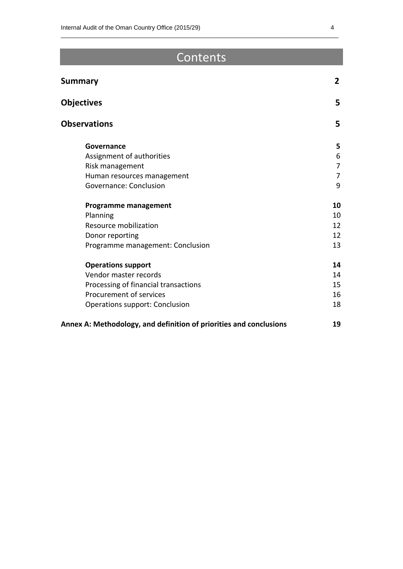## Contents

 $\_$  , and the set of the set of the set of the set of the set of the set of the set of the set of the set of the set of the set of the set of the set of the set of the set of the set of the set of the set of the set of th

| <b>Summary</b>                                                     | $\overline{2}$ |
|--------------------------------------------------------------------|----------------|
| <b>Objectives</b>                                                  | 5              |
| <b>Observations</b>                                                | 5              |
| Governance                                                         | 5              |
| Assignment of authorities                                          | 6              |
| Risk management                                                    | $\overline{7}$ |
| Human resources management                                         | $\overline{7}$ |
| Governance: Conclusion                                             | 9              |
| <b>Programme management</b>                                        | 10             |
| Planning                                                           | 10             |
| Resource mobilization                                              | 12             |
| Donor reporting                                                    | 12             |
| Programme management: Conclusion                                   | 13             |
| <b>Operations support</b>                                          | 14             |
| Vendor master records                                              | 14             |
| Processing of financial transactions                               | 15             |
| Procurement of services                                            | 16             |
| <b>Operations support: Conclusion</b>                              | 18             |
| Annex A: Methodology, and definition of priorities and conclusions | 19             |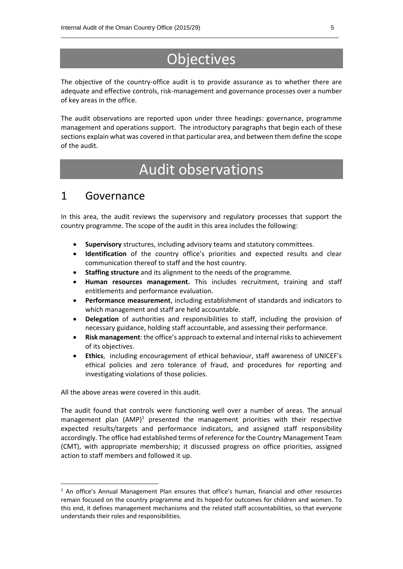# Objectives

 $\_$  , and the set of the set of the set of the set of the set of the set of the set of the set of the set of the set of the set of the set of the set of the set of the set of the set of the set of the set of the set of th

The objective of the country-office audit is to provide assurance as to whether there are adequate and effective controls, risk-management and governance processes over a number of key areas in the office.

The audit observations are reported upon under three headings: governance, programme management and operations support. The introductory paragraphs that begin each of these sections explain what was covered in that particular area, and between them define the scope of the audit.

## Audit observations

### 1 Governance

In this area, the audit reviews the supervisory and regulatory processes that support the country programme. The scope of the audit in this area includes the following:

- **Supervisory** structures, including advisory teams and statutory committees.
- **Identification** of the country office's priorities and expected results and clear communication thereof to staff and the host country.
- **Staffing structure** and its alignment to the needs of the programme.
- **Human resources management.** This includes recruitment, training and staff entitlements and performance evaluation.
- **Performance measurement**, including establishment of standards and indicators to which management and staff are held accountable.
- **Delegation** of authorities and responsibilities to staff, including the provision of necessary guidance, holding staff accountable, and assessing their performance.
- **Risk management**: the office's approach to external and internal risks to achievement of its objectives.
- **Ethics**, including encouragement of ethical behaviour, staff awareness of UNICEF's ethical policies and zero tolerance of fraud, and procedures for reporting and investigating violations of those policies.

All the above areas were covered in this audit.

1

The audit found that controls were functioning well over a number of areas. The annual management plan (AMP)<sup>1</sup> presented the management priorities with their respective expected results/targets and performance indicators, and assigned staff responsibility accordingly. The office had established terms of reference for the Country Management Team (CMT), with appropriate membership; it discussed progress on office priorities, assigned action to staff members and followed it up.

<sup>&</sup>lt;sup>1</sup> An office's Annual Management Plan ensures that office's human, financial and other resources remain focused on the country programme and its hoped-for outcomes for children and women. To this end, it defines management mechanisms and the related staff accountabilities, so that everyone understands their roles and responsibilities.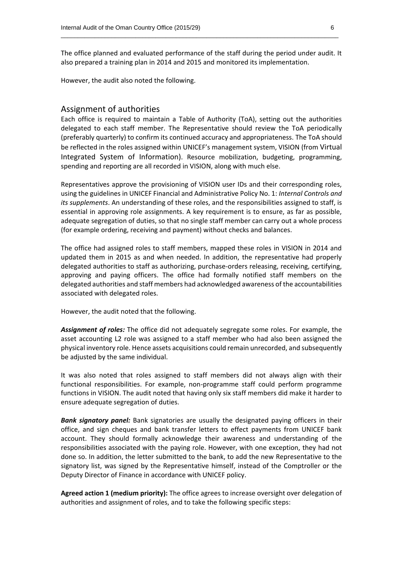The office planned and evaluated performance of the staff during the period under audit. It also prepared a training plan in 2014 and 2015 and monitored its implementation.

 $\_$  , and the set of the set of the set of the set of the set of the set of the set of the set of the set of the set of the set of the set of the set of the set of the set of the set of the set of the set of the set of th

However, the audit also noted the following.

#### Assignment of authorities

Each office is required to maintain a Table of Authority (ToA), setting out the authorities delegated to each staff member. The Representative should review the ToA periodically (preferably quarterly) to confirm its continued accuracy and appropriateness. The ToA should be reflected in the roles assigned within UNICEF's management system, VISION (from Virtual Integrated System of Information). Resource mobilization, budgeting, programming, spending and reporting are all recorded in VISION, along with much else.

Representatives approve the provisioning of VISION user IDs and their corresponding roles, using the guidelines in UNICEF Financial and Administrative Policy No. 1: *Internal Controls and its supplements*. An understanding of these roles, and the responsibilities assigned to staff, is essential in approving role assignments. A key requirement is to ensure, as far as possible, adequate segregation of duties, so that no single staff member can carry out a whole process (for example ordering, receiving and payment) without checks and balances.

The office had assigned roles to staff members, mapped these roles in VISION in 2014 and updated them in 2015 as and when needed. In addition, the representative had properly delegated authorities to staff as authorizing, purchase-orders releasing, receiving, certifying, approving and paying officers. The office had formally notified staff members on the delegated authorities and staff members had acknowledged awareness of the accountabilities associated with delegated roles.

However, the audit noted that the following.

*Assignment of roles:* The office did not adequately segregate some roles. For example, the asset accounting L2 role was assigned to a staff member who had also been assigned the physical inventory role. Hence assets acquisitions could remain unrecorded, and subsequently be adjusted by the same individual.

It was also noted that roles assigned to staff members did not always align with their functional responsibilities. For example, non-programme staff could perform programme functions in VISION. The audit noted that having only six staff members did make it harder to ensure adequate segregation of duties.

*Bank signatory panel:* Bank signatories are usually the designated paying officers in their office, and sign cheques and bank transfer letters to effect payments from UNICEF bank account. They should formally acknowledge their awareness and understanding of the responsibilities associated with the paying role. However, with one exception, they had not done so. In addition, the letter submitted to the bank, to add the new Representative to the signatory list, was signed by the Representative himself, instead of the Comptroller or the Deputy Director of Finance in accordance with UNICEF policy.

**Agreed action 1 (medium priority):** The office agrees to increase oversight over delegation of authorities and assignment of roles, and to take the following specific steps: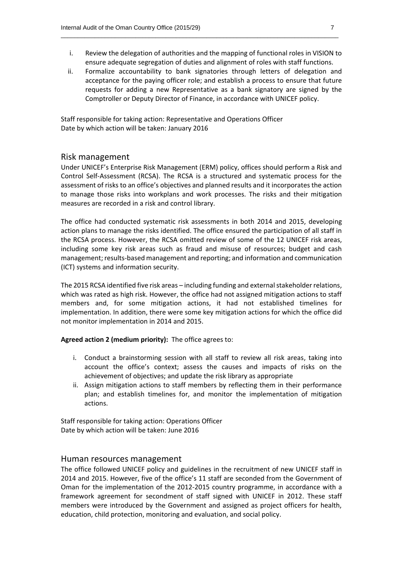i. Review the delegation of authorities and the mapping of functional roles in VISION to ensure adequate segregation of duties and alignment of roles with staff functions.

 $\_$  , and the set of the set of the set of the set of the set of the set of the set of the set of the set of the set of the set of the set of the set of the set of the set of the set of the set of the set of the set of th

ii. Formalize accountability to bank signatories through letters of delegation and acceptance for the paying officer role; and establish a process to ensure that future requests for adding a new Representative as a bank signatory are signed by the Comptroller or Deputy Director of Finance, in accordance with UNICEF policy.

Staff responsible for taking action: Representative and Operations Officer Date by which action will be taken: January 2016

#### Risk management

Under UNICEF's Enterprise Risk Management (ERM) policy, offices should perform a Risk and Control Self-Assessment (RCSA). The RCSA is a structured and systematic process for the assessment of risks to an office's objectives and planned results and it incorporates the action to manage those risks into workplans and work processes. The risks and their mitigation measures are recorded in a risk and control library.

The office had conducted systematic risk assessments in both 2014 and 2015, developing action plans to manage the risks identified. The office ensured the participation of all staff in the RCSA process. However, the RCSA omitted review of some of the 12 UNICEF risk areas, including some key risk areas such as fraud and misuse of resources; budget and cash management; results-based management and reporting; and information and communication (ICT) systems and information security.

The 2015 RCSA identified five risk areas – including funding and external stakeholder relations, which was rated as high risk. However, the office had not assigned mitigation actions to staff members and, for some mitigation actions, it had not established timelines for implementation. In addition, there were some key mitigation actions for which the office did not monitor implementation in 2014 and 2015.

**Agreed action 2 (medium priority):** The office agrees to:

- i. Conduct a brainstorming session with all staff to review all risk areas, taking into account the office's context; assess the causes and impacts of risks on the achievement of objectives; and update the risk library as appropriate
- ii. Assign mitigation actions to staff members by reflecting them in their performance plan; and establish timelines for, and monitor the implementation of mitigation actions.

Staff responsible for taking action: Operations Officer Date by which action will be taken: June 2016

#### Human resources management

The office followed UNICEF policy and guidelines in the recruitment of new UNICEF staff in 2014 and 2015. However, five of the office's 11 staff are seconded from the Government of Oman for the implementation of the 2012-2015 country programme, in accordance with a framework agreement for secondment of staff signed with UNICEF in 2012. These staff members were introduced by the Government and assigned as project officers for health, education, child protection, monitoring and evaluation, and social policy.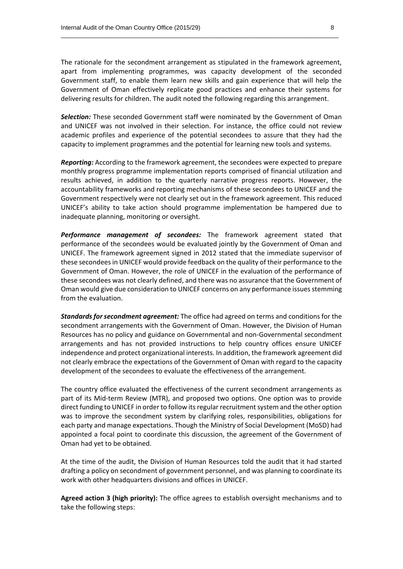The rationale for the secondment arrangement as stipulated in the framework agreement, apart from implementing programmes, was capacity development of the seconded Government staff, to enable them learn new skills and gain experience that will help the Government of Oman effectively replicate good practices and enhance their systems for delivering results for children. The audit noted the following regarding this arrangement.

 $\_$  , and the set of the set of the set of the set of the set of the set of the set of the set of the set of the set of the set of the set of the set of the set of the set of the set of the set of the set of the set of th

*Selection:* These seconded Government staff were nominated by the Government of Oman and UNICEF was not involved in their selection. For instance, the office could not review academic profiles and experience of the potential secondees to assure that they had the capacity to implement programmes and the potential for learning new tools and systems.

*Reporting:* According to the framework agreement, the secondees were expected to prepare monthly progress programme implementation reports comprised of financial utilization and results achieved, in addition to the quarterly narrative progress reports. However, the accountability frameworks and reporting mechanisms of these secondees to UNICEF and the Government respectively were not clearly set out in the framework agreement. This reduced UNICEF's ability to take action should programme implementation be hampered due to inadequate planning, monitoring or oversight.

*Performance management of secondees:* The framework agreement stated that performance of the secondees would be evaluated jointly by the Government of Oman and UNICEF. The framework agreement signed in 2012 stated that the immediate supervisor of these secondees in UNICEF would provide feedback on the quality of their performance to the Government of Oman. However, the role of UNICEF in the evaluation of the performance of these secondees was not clearly defined, and there was no assurance that the Government of Oman would give due consideration to UNICEF concerns on any performance issues stemming from the evaluation.

*Standards for secondment agreement:* The office had agreed on terms and conditions for the secondment arrangements with the Government of Oman. However, the Division of Human Resources has no policy and guidance on Governmental and non-Governmental secondment arrangements and has not provided instructions to help country offices ensure UNICEF independence and protect organizational interests. In addition, the framework agreement did not clearly embrace the expectations of the Government of Oman with regard to the capacity development of the secondees to evaluate the effectiveness of the arrangement.

The country office evaluated the effectiveness of the current secondment arrangements as part of its Mid-term Review (MTR), and proposed two options. One option was to provide direct funding to UNICEF in order to follow its regular recruitment system and the other option was to improve the secondment system by clarifying roles, responsibilities, obligations for each party and manage expectations. Though the Ministry of Social Development (MoSD) had appointed a focal point to coordinate this discussion, the agreement of the Government of Oman had yet to be obtained.

At the time of the audit, the Division of Human Resources told the audit that it had started drafting a policy on secondment of government personnel, and was planning to coordinate its work with other headquarters divisions and offices in UNICEF.

**Agreed action 3 (high priority):** The office agrees to establish oversight mechanisms and to take the following steps: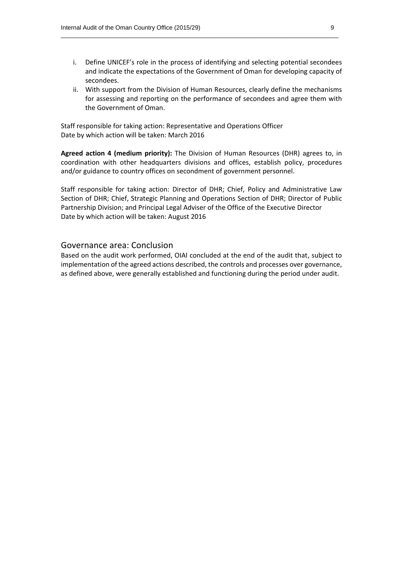i. Define UNICEF's role in the process of identifying and selecting potential secondees and indicate the expectations of the Government of Oman for developing capacity of secondees.

 $\_$  , and the set of the set of the set of the set of the set of the set of the set of the set of the set of the set of the set of the set of the set of the set of the set of the set of the set of the set of the set of th

ii. With support from the Division of Human Resources, clearly define the mechanisms for assessing and reporting on the performance of secondees and agree them with the Government of Oman.

Staff responsible for taking action: Representative and Operations Officer Date by which action will be taken: March 2016

**Agreed action 4 (medium priority):** The Division of Human Resources (DHR) agrees to, in coordination with other headquarters divisions and offices, establish policy, procedures and/or guidance to country offices on secondment of government personnel.

Staff responsible for taking action: Director of DHR; Chief, Policy and Administrative Law Section of DHR; Chief, Strategic Planning and Operations Section of DHR; Director of Public Partnership Division; and Principal Legal Adviser of the Office of the Executive Director Date by which action will be taken: August 2016

#### Governance area: Conclusion

Based on the audit work performed, OIAI concluded at the end of the audit that, subject to implementation of the agreed actions described, the controls and processes over governance, as defined above, were generally established and functioning during the period under audit.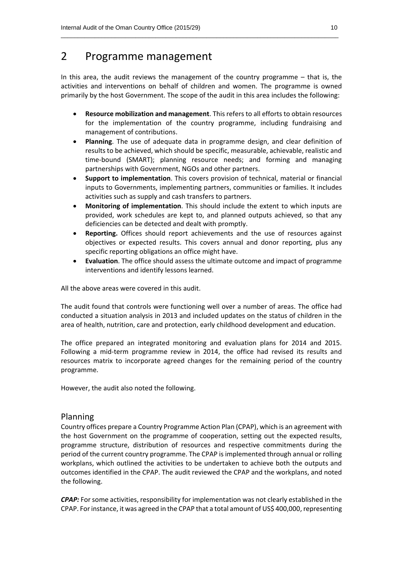## 2 Programme management

In this area, the audit reviews the management of the country programme – that is, the activities and interventions on behalf of children and women. The programme is owned primarily by the host Government. The scope of the audit in this area includes the following:

 $\_$  , and the set of the set of the set of the set of the set of the set of the set of the set of the set of the set of the set of the set of the set of the set of the set of the set of the set of the set of the set of th

- **Resource mobilization and management**. This refers to all efforts to obtain resources for the implementation of the country programme, including fundraising and management of contributions.
- **Planning**. The use of adequate data in programme design, and clear definition of results to be achieved, which should be specific, measurable, achievable, realistic and time-bound (SMART); planning resource needs; and forming and managing partnerships with Government, NGOs and other partners.
- **Support to implementation**. This covers provision of technical, material or financial inputs to Governments, implementing partners, communities or families. It includes activities such as supply and cash transfers to partners.
- **Monitoring of implementation**. This should include the extent to which inputs are provided, work schedules are kept to, and planned outputs achieved, so that any deficiencies can be detected and dealt with promptly.
- **Reporting.** Offices should report achievements and the use of resources against objectives or expected results. This covers annual and donor reporting, plus any specific reporting obligations an office might have.
- **Evaluation**. The office should assess the ultimate outcome and impact of programme interventions and identify lessons learned.

All the above areas were covered in this audit.

The audit found that controls were functioning well over a number of areas. The office had conducted a situation analysis in 2013 and included updates on the status of children in the area of health, nutrition, care and protection, early childhood development and education.

The office prepared an integrated monitoring and evaluation plans for 2014 and 2015. Following a mid-term programme review in 2014, the office had revised its results and resources matrix to incorporate agreed changes for the remaining period of the country programme.

However, the audit also noted the following.

#### Planning

Country offices prepare a Country Programme Action Plan (CPAP), which is an agreement with the host Government on the programme of cooperation, setting out the expected results, programme structure, distribution of resources and respective commitments during the period of the current country programme. The CPAP is implemented through annual or rolling workplans, which outlined the activities to be undertaken to achieve both the outputs and outcomes identified in the CPAP. The audit reviewed the CPAP and the workplans, and noted the following.

*CPAP:* For some activities, responsibility for implementation was not clearly established in the CPAP. For instance, it was agreed in the CPAP that a total amount of US\$ 400,000, representing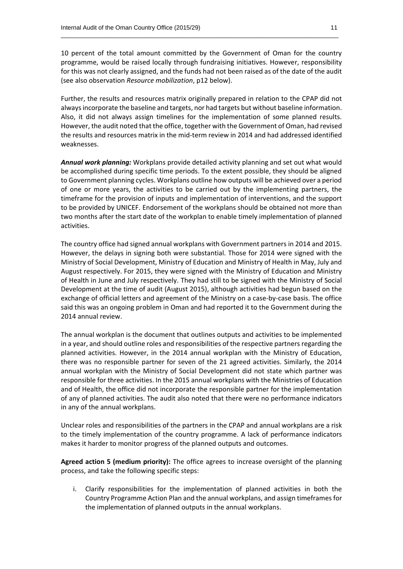10 percent of the total amount committed by the Government of Oman for the country programme, would be raised locally through fundraising initiatives. However, responsibility for this was not clearly assigned, and the funds had not been raised as of the date of the audit (see also observation *Resource mobilization*, p12 below).

 $\_$  , and the set of the set of the set of the set of the set of the set of the set of the set of the set of the set of the set of the set of the set of the set of the set of the set of the set of the set of the set of th

Further, the results and resources matrix originally prepared in relation to the CPAP did not always incorporate the baseline and targets, nor had targets but without baseline information. Also, it did not always assign timelines for the implementation of some planned results. However, the audit noted that the office, together with the Government of Oman, had revised the results and resources matrix in the mid-term review in 2014 and had addressed identified weaknesses.

*Annual work planning:* Workplans provide detailed activity planning and set out what would be accomplished during specific time periods. To the extent possible, they should be aligned to Government planning cycles. Workplans outline how outputs will be achieved over a period of one or more years, the activities to be carried out by the implementing partners, the timeframe for the provision of inputs and implementation of interventions, and the support to be provided by UNICEF. Endorsement of the workplans should be obtained not more than two months after the start date of the workplan to enable timely implementation of planned activities.

The country office had signed annual workplans with Government partners in 2014 and 2015. However, the delays in signing both were substantial. Those for 2014 were signed with the Ministry of Social Development, Ministry of Education and Ministry of Health in May, July and August respectively. For 2015, they were signed with the Ministry of Education and Ministry of Health in June and July respectively. They had still to be signed with the Ministry of Social Development at the time of audit (August 2015), although activities had begun based on the exchange of official letters and agreement of the Ministry on a case-by-case basis. The office said this was an ongoing problem in Oman and had reported it to the Government during the 2014 annual review.

The annual workplan is the document that outlines outputs and activities to be implemented in a year, and should outline roles and responsibilities of the respective partners regarding the planned activities. However, in the 2014 annual workplan with the Ministry of Education, there was no responsible partner for seven of the 21 agreed activities. Similarly, the 2014 annual workplan with the Ministry of Social Development did not state which partner was responsible for three activities. In the 2015 annual workplans with the Ministries of Education and of Health, the office did not incorporate the responsible partner for the implementation of any of planned activities. The audit also noted that there were no performance indicators in any of the annual workplans.

Unclear roles and responsibilities of the partners in the CPAP and annual workplans are a risk to the timely implementation of the country programme. A lack of performance indicators makes it harder to monitor progress of the planned outputs and outcomes.

**Agreed action 5 (medium priority):** The office agrees to increase oversight of the planning process, and take the following specific steps:

i. Clarify responsibilities for the implementation of planned activities in both the Country Programme Action Plan and the annual workplans, and assign timeframesfor the implementation of planned outputs in the annual workplans.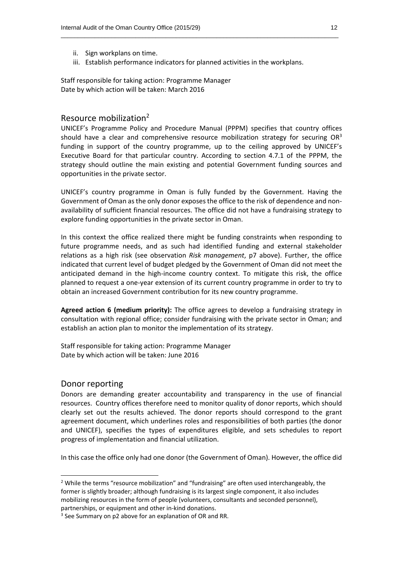- ii. Sign workplans on time.
- iii. Establish performance indicators for planned activities in the workplans.

 $\_$  , and the set of the set of the set of the set of the set of the set of the set of the set of the set of the set of the set of the set of the set of the set of the set of the set of the set of the set of the set of th

Staff responsible for taking action: Programme Manager Date by which action will be taken: March 2016

#### Resource mobilization<sup>2</sup>

UNICEF's Programme Policy and Procedure Manual (PPPM) specifies that country offices should have a clear and comprehensive resource mobilization strategy for securing  $OR<sup>3</sup>$ funding in support of the country programme, up to the ceiling approved by UNICEF's Executive Board for that particular country. According to section 4.7.1 of the PPPM, the strategy should outline the main existing and potential Government funding sources and opportunities in the private sector.

UNICEF's country programme in Oman is fully funded by the Government. Having the Government of Oman as the only donor exposesthe office to the risk of dependence and nonavailability of sufficient financial resources. The office did not have a fundraising strategy to explore funding opportunities in the private sector in Oman.

In this context the office realized there might be funding constraints when responding to future programme needs, and as such had identified funding and external stakeholder relations as a high risk (see observation *Risk management*, p7 above). Further, the office indicated that current level of budget pledged by the Government of Oman did not meet the anticipated demand in the high-income country context. To mitigate this risk, the office planned to request a one-year extension of its current country programme in order to try to obtain an increased Government contribution for its new country programme.

**Agreed action 6 (medium priority):** The office agrees to develop a fundraising strategy in consultation with regional office; consider fundraising with the private sector in Oman; and establish an action plan to monitor the implementation of its strategy.

Staff responsible for taking action: Programme Manager Date by which action will be taken: June 2016

#### Donor reporting

**.** 

Donors are demanding greater accountability and transparency in the use of financial resources. Country offices therefore need to monitor quality of donor reports, which should clearly set out the results achieved. The donor reports should correspond to the grant agreement document, which underlines roles and responsibilities of both parties (the donor and UNICEF), specifies the types of expenditures eligible, and sets schedules to report progress of implementation and financial utilization.

In this case the office only had one donor (the Government of Oman). However, the office did

<sup>&</sup>lt;sup>2</sup> While the terms "resource mobilization" and "fundraising" are often used interchangeably, the former is slightly broader; although fundraising is its largest single component, it also includes mobilizing resources in the form of people (volunteers, consultants and seconded personnel), partnerships, or equipment and other in-kind donations.

<sup>&</sup>lt;sup>3</sup> See Summary on p2 above for an explanation of OR and RR.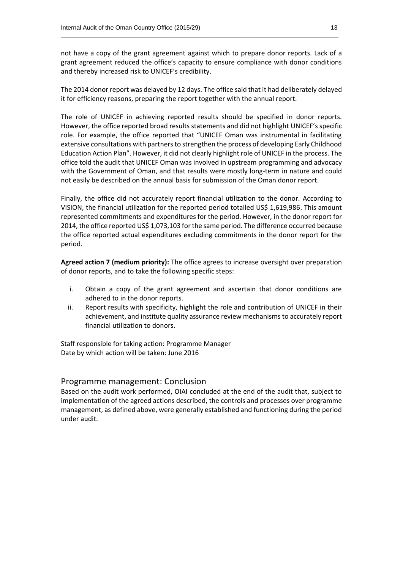not have a copy of the grant agreement against which to prepare donor reports. Lack of a grant agreement reduced the office's capacity to ensure compliance with donor conditions and thereby increased risk to UNICEF's credibility.

 $\_$  , and the set of the set of the set of the set of the set of the set of the set of the set of the set of the set of the set of the set of the set of the set of the set of the set of the set of the set of the set of th

The 2014 donor report was delayed by 12 days. The office said that it had deliberately delayed it for efficiency reasons, preparing the report together with the annual report.

The role of UNICEF in achieving reported results should be specified in donor reports. However, the office reported broad results statements and did not highlight UNICEF's specific role. For example, the office reported that "UNICEF Oman was instrumental in facilitating extensive consultations with partners to strengthen the process of developing Early Childhood Education Action Plan". However, it did not clearly highlight role of UNICEF in the process. The office told the audit that UNICEF Oman was involved in upstream programming and advocacy with the Government of Oman, and that results were mostly long-term in nature and could not easily be described on the annual basis for submission of the Oman donor report.

Finally, the office did not accurately report financial utilization to the donor. According to VISION, the financial utilization for the reported period totalled US\$ 1,619,986. This amount represented commitments and expenditures for the period. However, in the donor report for 2014, the office reported US\$ 1,073,103 for the same period. The difference occurred because the office reported actual expenditures excluding commitments in the donor report for the period.

**Agreed action 7 (medium priority):** The office agrees to increase oversight over preparation of donor reports, and to take the following specific steps:

- i. Obtain a copy of the grant agreement and ascertain that donor conditions are adhered to in the donor reports.
- ii. Report results with specificity, highlight the role and contribution of UNICEF in their achievement, and institute quality assurance review mechanisms to accurately report financial utilization to donors.

Staff responsible for taking action: Programme Manager Date by which action will be taken: June 2016

#### Programme management: Conclusion

Based on the audit work performed, OIAI concluded at the end of the audit that, subject to implementation of the agreed actions described, the controls and processes over programme management, as defined above, were generally established and functioning during the period under audit.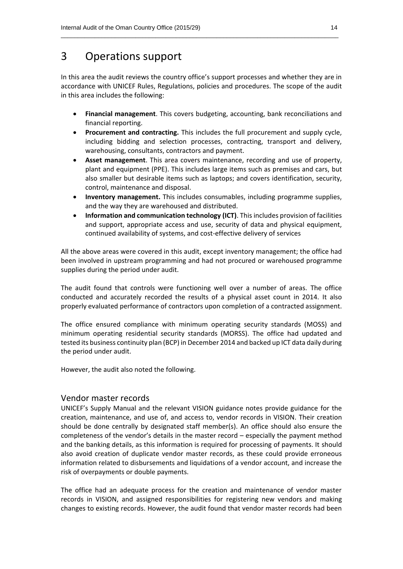### 3 Operations support

In this area the audit reviews the country office's support processes and whether they are in accordance with UNICEF Rules, Regulations, policies and procedures. The scope of the audit in this area includes the following:

 $\_$  , and the set of the set of the set of the set of the set of the set of the set of the set of the set of the set of the set of the set of the set of the set of the set of the set of the set of the set of the set of th

- **Financial management**. This covers budgeting, accounting, bank reconciliations and financial reporting.
- **Procurement and contracting.** This includes the full procurement and supply cycle, including bidding and selection processes, contracting, transport and delivery, warehousing, consultants, contractors and payment.
- **Asset management**. This area covers maintenance, recording and use of property, plant and equipment (PPE). This includes large items such as premises and cars, but also smaller but desirable items such as laptops; and covers identification, security, control, maintenance and disposal.
- **Inventory management.** This includes consumables, including programme supplies, and the way they are warehoused and distributed.
- **Information and communication technology (ICT)**. This includes provision of facilities and support, appropriate access and use, security of data and physical equipment, continued availability of systems, and cost-effective delivery of services

All the above areas were covered in this audit, except inventory management; the office had been involved in upstream programming and had not procured or warehoused programme supplies during the period under audit.

The audit found that controls were functioning well over a number of areas. The office conducted and accurately recorded the results of a physical asset count in 2014. It also properly evaluated performance of contractors upon completion of a contracted assignment.

The office ensured compliance with minimum operating security standards (MOSS) and minimum operating residential security standards (MORSS). The office had updated and tested its business continuity plan (BCP) in December 2014 and backed up ICT data daily during the period under audit.

However, the audit also noted the following.

#### Vendor master records

UNICEF's Supply Manual and the relevant VISION guidance notes provide guidance for the creation, maintenance, and use of, and access to, vendor records in VISION. Their creation should be done centrally by designated staff member(s). An office should also ensure the completeness of the vendor's details in the master record – especially the payment method and the banking details, as this information is required for processing of payments. It should also avoid creation of duplicate vendor master records, as these could provide erroneous information related to disbursements and liquidations of a vendor account, and increase the risk of overpayments or double payments.

The office had an adequate process for the creation and maintenance of vendor master records in VISION, and assigned responsibilities for registering new vendors and making changes to existing records. However, the audit found that vendor master records had been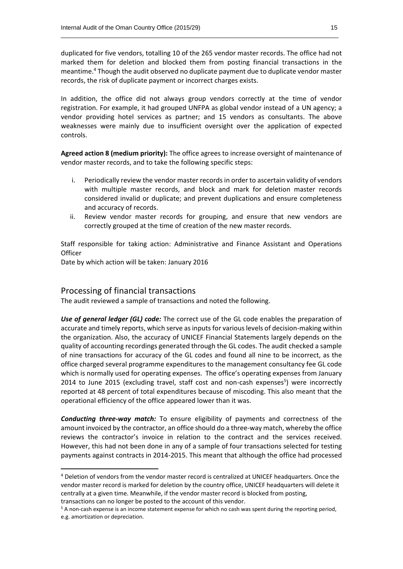duplicated for five vendors, totalling 10 of the 265 vendor master records. The office had not marked them for deletion and blocked them from posting financial transactions in the meantime. 4 Though the audit observed no duplicate payment due to duplicate vendor master records, the risk of duplicate payment or incorrect charges exists.

 $\_$  , and the set of the set of the set of the set of the set of the set of the set of the set of the set of the set of the set of the set of the set of the set of the set of the set of the set of the set of the set of th

In addition, the office did not always group vendors correctly at the time of vendor registration. For example, it had grouped UNFPA as global vendor instead of a UN agency; a vendor providing hotel services as partner; and 15 vendors as consultants. The above weaknesses were mainly due to insufficient oversight over the application of expected controls.

**Agreed action 8 (medium priority):** The office agrees to increase oversight of maintenance of vendor master records, and to take the following specific steps:

- i. Periodically review the vendor master records in order to ascertain validity of vendors with multiple master records, and block and mark for deletion master records considered invalid or duplicate; and prevent duplications and ensure completeness and accuracy of records.
- ii. Review vendor master records for grouping, and ensure that new vendors are correctly grouped at the time of creation of the new master records.

Staff responsible for taking action: Administrative and Finance Assistant and Operations **Officer** 

Date by which action will be taken: January 2016

#### Processing of financial transactions

The audit reviewed a sample of transactions and noted the following.

*Use of general ledger (GL) code:* The correct use of the GL code enables the preparation of accurate and timely reports, which serve as inputs for various levels of decision-making within the organization. Also, the accuracy of UNICEF Financial Statements largely depends on the quality of accounting recordings generated through the GL codes. The audit checked a sample of nine transactions for accuracy of the GL codes and found all nine to be incorrect, as the office charged several programme expenditures to the management consultancy fee GL code which is normally used for operating expenses. The office's operating expenses from January 2014 to June 2015 (excluding travel, staff cost and non-cash expenses<sup>5</sup>) were incorrectly reported at 48 percent of total expenditures because of miscoding. This also meant that the operational efficiency of the office appeared lower than it was.

*Conducting three-way match:* To ensure eligibility of payments and correctness of the amount invoiced by the contractor, an office should do a three-way match, whereby the office reviews the contractor's invoice in relation to the contract and the services received. However, this had not been done in any of a sample of four transactions selected for testing payments against contracts in 2014-2015. This meant that although the office had processed

**.** 

<sup>&</sup>lt;sup>4</sup> Deletion of vendors from the vendor master record is centralized at UNICEF headquarters. Once the vendor master record is marked for deletion by the country office, UNICEF headquarters will delete it centrally at a given time. Meanwhile, if the vendor master record is blocked from posting,

transactions can no longer be posted to the account of this vendor.

<sup>&</sup>lt;sup>5</sup> A non-cash expense is an income statement expense for which no cash was spent during the reporting period, e.g. amortization or depreciation.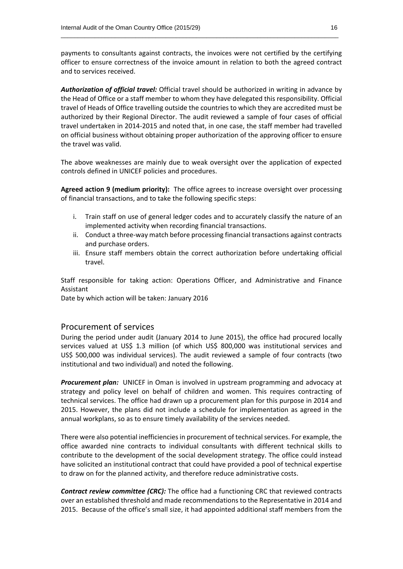payments to consultants against contracts, the invoices were not certified by the certifying officer to ensure correctness of the invoice amount in relation to both the agreed contract and to services received.

 $\_$  , and the set of the set of the set of the set of the set of the set of the set of the set of the set of the set of the set of the set of the set of the set of the set of the set of the set of the set of the set of th

*Authorization of official travel:* Official travel should be authorized in writing in advance by the Head of Office or a staff member to whom they have delegated this responsibility. Official travel of Heads of Office travelling outside the countries to which they are accredited must be authorized by their Regional Director. The audit reviewed a sample of four cases of official travel undertaken in 2014-2015 and noted that, in one case, the staff member had travelled on official business without obtaining proper authorization of the approving officer to ensure the travel was valid.

The above weaknesses are mainly due to weak oversight over the application of expected controls defined in UNICEF policies and procedures.

**Agreed action 9 (medium priority):** The office agrees to increase oversight over processing of financial transactions, and to take the following specific steps:

- i. Train staff on use of general ledger codes and to accurately classify the nature of an implemented activity when recording financial transactions.
- ii. Conduct a three-way match before processing financial transactions against contracts and purchase orders.
- iii. Ensure staff members obtain the correct authorization before undertaking official travel.

Staff responsible for taking action: Operations Officer, and Administrative and Finance Assistant

Date by which action will be taken: January 2016

#### Procurement of services

During the period under audit (January 2014 to June 2015), the office had procured locally services valued at US\$ 1.3 million (of which US\$ 800,000 was institutional services and US\$ 500,000 was individual services). The audit reviewed a sample of four contracts (two institutional and two individual) and noted the following.

*Procurement plan:* UNICEF in Oman is involved in upstream programming and advocacy at strategy and policy level on behalf of children and women. This requires contracting of technical services. The office had drawn up a procurement plan for this purpose in 2014 and 2015. However, the plans did not include a schedule for implementation as agreed in the annual workplans, so as to ensure timely availability of the services needed.

There were also potential inefficienciesin procurement of technical services. For example, the office awarded nine contracts to individual consultants with different technical skills to contribute to the development of the social development strategy. The office could instead have solicited an institutional contract that could have provided a pool of technical expertise to draw on for the planned activity, and therefore reduce administrative costs.

*Contract review committee (CRC):* The office had a functioning CRC that reviewed contracts over an established threshold and made recommendations to the Representative in 2014 and 2015. Because of the office's small size, it had appointed additional staff members from the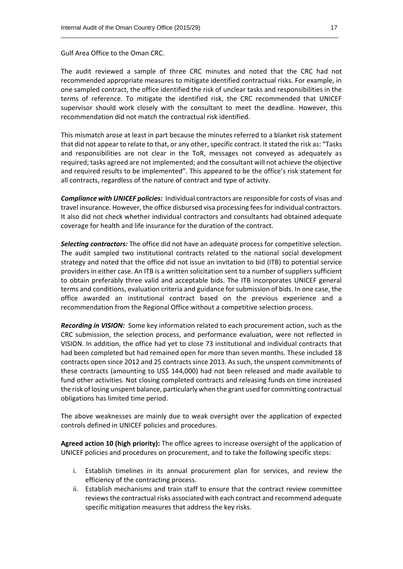Gulf Area Office to the Oman CRC.

The audit reviewed a sample of three CRC minutes and noted that the CRC had not recommended appropriate measures to mitigate identified contractual risks. For example, in one sampled contract, the office identified the risk of unclear tasks and responsibilities in the terms of reference. To mitigate the identified risk, the CRC recommended that UNICEF supervisor should work closely with the consultant to meet the deadline. However, this recommendation did not match the contractual risk identified.

 $\_$  , and the set of the set of the set of the set of the set of the set of the set of the set of the set of the set of the set of the set of the set of the set of the set of the set of the set of the set of the set of th

This mismatch arose at least in part because the minutes referred to a blanket risk statement that did not appear to relate to that, or any other, specific contract. It stated the risk as: "Tasks and responsibilities are not clear in the ToR, messages not conveyed as adequately as required; tasks agreed are not implemented; and the consultant will not achieve the objective and required results to be implemented". This appeared to be the office's risk statement for all contracts, regardless of the nature of contract and type of activity.

*Compliance with UNICEF policies:* Individual contractors are responsible for costs of visas and travel insurance. However, the office disbursed visa processing fees for individual contractors. It also did not check whether individual contractors and consultants had obtained adequate coverage for health and life insurance for the duration of the contract.

*Selecting contractors:* The office did not have an adequate process for competitive selection. The audit sampled two institutional contracts related to the national social development strategy and noted that the office did not issue an invitation to bid (ITB) to potential service providers in either case. An ITB is a written solicitation sent to a number of suppliers sufficient to obtain preferably three valid and acceptable bids. The ITB incorporates UNICEF general terms and conditions, evaluation criteria and guidance for submission of bids. In one case, the office awarded an institutional contract based on the previous experience and a recommendation from the Regional Office without a competitive selection process.

*Recording in VISION:* Some key information related to each procurement action, such as the CRC submission, the selection process, and performance evaluation, were not reflected in VISION. In addition, the office had yet to close 73 institutional and individual contracts that had been completed but had remained open for more than seven months. These included 18 contracts open since 2012 and 25 contracts since 2013. As such, the unspent commitments of these contracts (amounting to US\$ 144,000) had not been released and made available to fund other activities. Not closing completed contracts and releasing funds on time increased the risk of losing unspent balance, particularly when the grant used for committing contractual obligations has limited time period.

The above weaknesses are mainly due to weak oversight over the application of expected controls defined in UNICEF policies and procedures.

**Agreed action 10 (high priority):** The office agrees to increase oversight of the application of UNICEF policies and procedures on procurement, and to take the following specific steps:

- i. Establish timelines in its annual procurement plan for services, and review the efficiency of the contracting process.
- ii. Establish mechanisms and train staff to ensure that the contract review committee reviews the contractual risks associated with each contract and recommend adequate specific mitigation measures that address the key risks.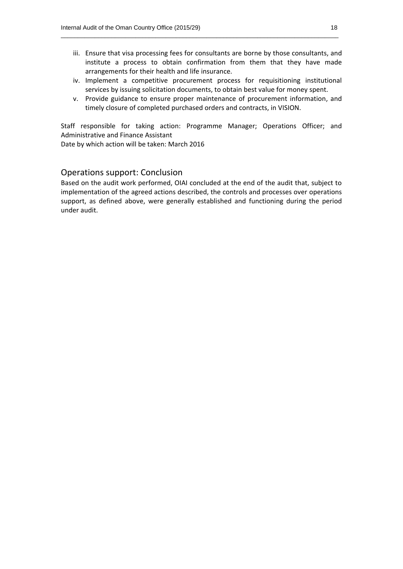iii. Ensure that visa processing fees for consultants are borne by those consultants, and institute a process to obtain confirmation from them that they have made arrangements for their health and life insurance.

 $\_$  , and the set of the set of the set of the set of the set of the set of the set of the set of the set of the set of the set of the set of the set of the set of the set of the set of the set of the set of the set of th

- iv. Implement a competitive procurement process for requisitioning institutional services by issuing solicitation documents, to obtain best value for money spent.
- v. Provide guidance to ensure proper maintenance of procurement information, and timely closure of completed purchased orders and contracts, in VISION.

Staff responsible for taking action: Programme Manager; Operations Officer; and Administrative and Finance Assistant

Date by which action will be taken: March 2016

#### Operations support: Conclusion

Based on the audit work performed, OIAI concluded at the end of the audit that, subject to implementation of the agreed actions described, the controls and processes over operations support, as defined above, were generally established and functioning during the period under audit.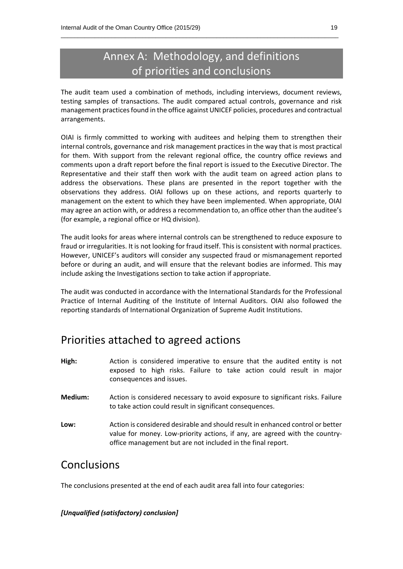## Annex A: Methodology, and definitions of priorities and conclusions

 $\_$  , and the set of the set of the set of the set of the set of the set of the set of the set of the set of the set of the set of the set of the set of the set of the set of the set of the set of the set of the set of th

The audit team used a combination of methods, including interviews, document reviews, testing samples of transactions. The audit compared actual controls, governance and risk management practices found in the office against UNICEF policies, procedures and contractual arrangements.

OIAI is firmly committed to working with auditees and helping them to strengthen their internal controls, governance and risk management practices in the way that is most practical for them. With support from the relevant regional office, the country office reviews and comments upon a draft report before the final report is issued to the Executive Director. The Representative and their staff then work with the audit team on agreed action plans to address the observations. These plans are presented in the report together with the observations they address. OIAI follows up on these actions, and reports quarterly to management on the extent to which they have been implemented. When appropriate, OIAI may agree an action with, or address a recommendation to, an office other than the auditee's (for example, a regional office or HQ division).

The audit looks for areas where internal controls can be strengthened to reduce exposure to fraud or irregularities. It is not looking for fraud itself. This is consistent with normal practices. However, UNICEF's auditors will consider any suspected fraud or mismanagement reported before or during an audit, and will ensure that the relevant bodies are informed. This may include asking the Investigations section to take action if appropriate.

The audit was conducted in accordance with the International Standards for the Professional Practice of Internal Auditing of the Institute of Internal Auditors. OIAI also followed the reporting standards of International Organization of Supreme Audit Institutions.

## Priorities attached to agreed actions

- **High:** Action is considered imperative to ensure that the audited entity is not exposed to high risks. Failure to take action could result in major consequences and issues.
- **Medium:** Action is considered necessary to avoid exposure to significant risks. Failure to take action could result in significant consequences.
- **Low:** Action is considered desirable and should result in enhanced control or better value for money. Low-priority actions, if any, are agreed with the countryoffice management but are not included in the final report.

### Conclusions

The conclusions presented at the end of each audit area fall into four categories:

#### *[Unqualified (satisfactory) conclusion]*